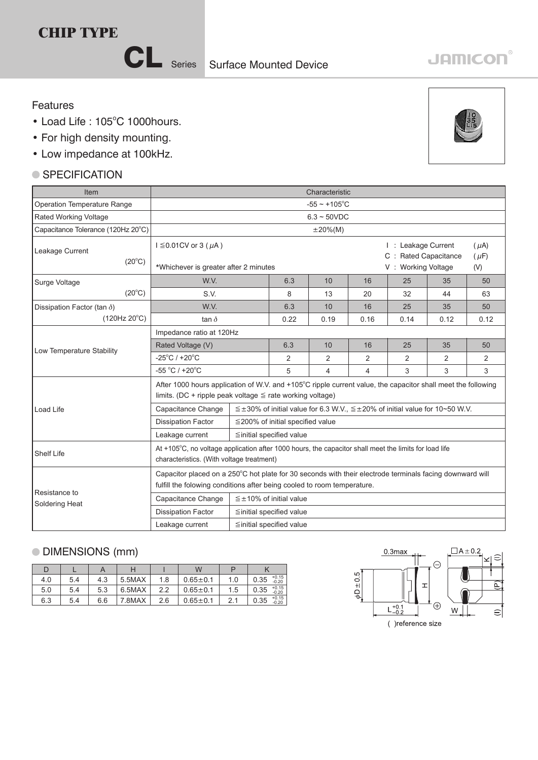# **CHIP TYPE**

CL Series

# **JAMICON**

#### Features

- Load Life: 105°C 1000hours.
- For high density mounting.
- Low impedance at 100kHz.

## ● SPECIFICATION



## DIMENSIONS (mm)

|     |     |     |        |     | W              |     |                            |
|-----|-----|-----|--------|-----|----------------|-----|----------------------------|
| 4.0 | 5.4 | 4.3 | 5.5MAX | 1.8 | $0.65 + 0.1$   | 1.0 | $+0.15$<br>0.35<br>$-0.20$ |
| 5.0 | 5.4 | 5.3 | 6.5MAX | 2.2 | $0.65 \pm 0.1$ | 1.5 | $+0.15$<br>0.35<br>$-0.20$ |
| 6.3 | 5.4 | 6.6 | 7.8MAX | 2.6 | $0.65 \pm 0.1$ |     | $+0.15$<br>0.35<br>$-0.20$ |